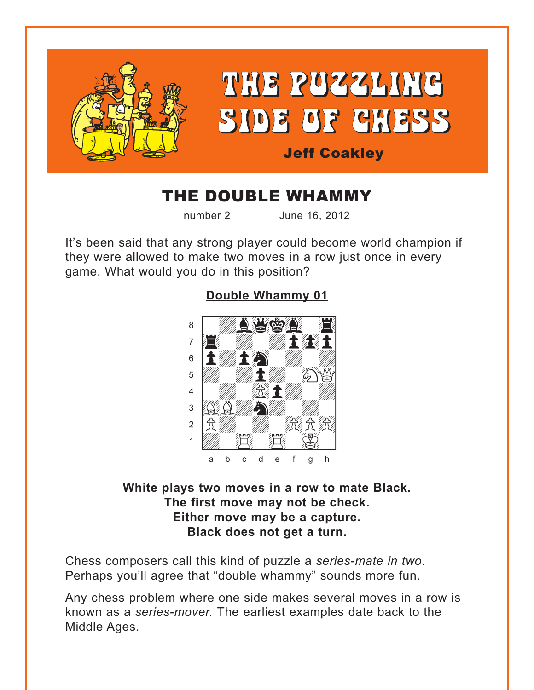<span id="page-0-0"></span>

# THE DOUBLE WHAMMY

number 2 June 16, 2012

It's been said that any strong player could become world champion if they were allowed to make two moves in a row just once in every game. What would you do in this position?

## **[Double Whammy 01](#page-3-0)**



### **White plays two moves in a row to mate Black. The first move may not be check. Either move may be a capture. Black does not get a turn.**

Chess composers call this kind of puzzle a *series-mate in two*. Perhaps you'll agree that "double whammy" sounds more fun.

Any chess problem where one side makes several moves in a row is known as a *series-mover.* The earliest examples date back to the Middle Ages.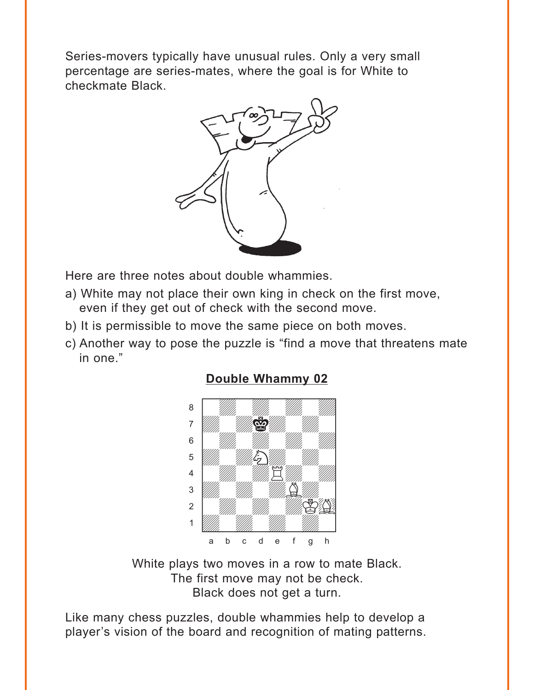<span id="page-1-0"></span>Series-movers typically have unusual rules. Only a very small percentage are series-mates, where the goal is for White to checkmate Black.



Here are three notes about double whammies.

- a) White may not place their own king in check on the first move, even if they get out of check with the second move.
- b) It is permissible to move the same piece on both moves.
- c) Another way to pose the puzzle is "find a move that threatens mate in one."

## **[Double Whammy 02](#page-4-0)**



White plays two moves in a row to mate Black. The first move may not be check. Black does not get a turn.

Like many chess puzzles, double whammies help to develop a player's vision of the board and recognition of mating patterns.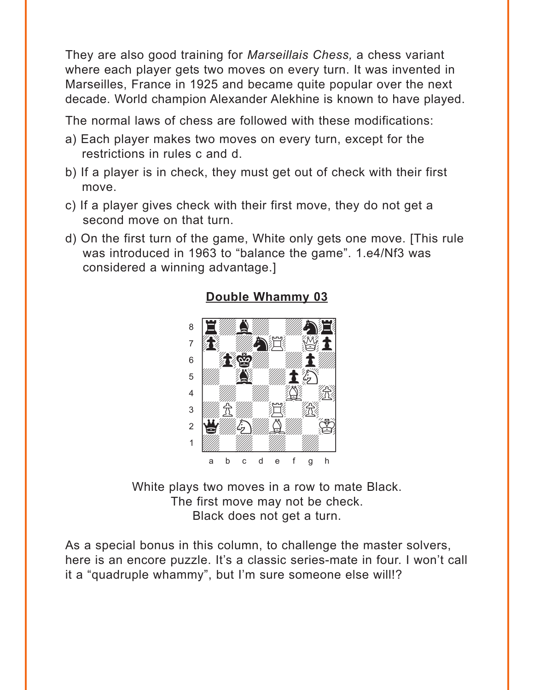<span id="page-2-0"></span>They are also good training for *Marseillais Chess,* a chess variant where each player gets two moves on every turn. It was invented in Marseilles, France in 1925 and became quite popular over the next decade. World champion Alexander Alekhine is known to have played.

The normal laws of chess are followed with these modifications:

- a) Each player makes two moves on every turn, except for the restrictions in rules c and d.
- b) If a player is in check, they must get out of check with their first move.
- c) If a player gives check with their first move, they do not get a second move on that turn.
- d) On the first turn of the game, White only gets one move. [This rule was introduced in 1963 to "balance the game". 1.e4/Nf3 was considered a winning advantage.]



#### **[Double Whammy 03](#page-4-0)**

White plays two moves in a row to mate Black. The first move may not be check. Black does not get a turn.

As a special bonus in this column, to challenge the master solvers, here is an encore puzzle. It's a classic series-mate in four. I won't call it a "quadruple whammy", but I'm sure someone else will!?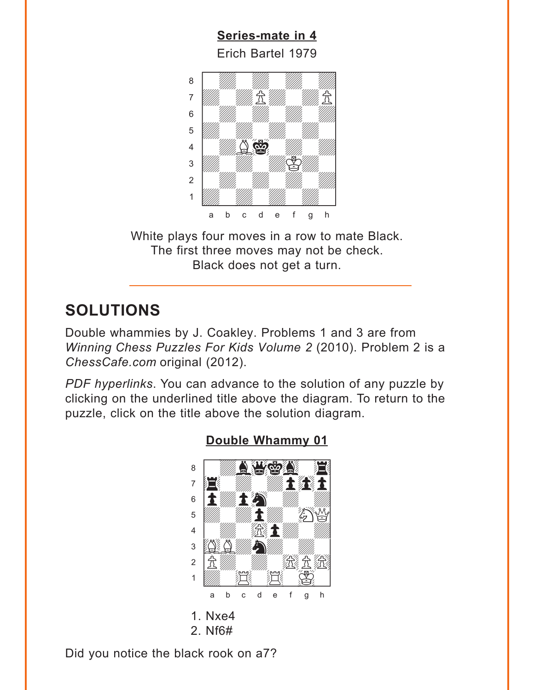<span id="page-3-0"></span>**[Series-mate in 4](#page-5-0)** Erich Bartel 1979  $\frac{L}{L}$  which bands for  $\circ$ 



White plays four moves in a row to mate Black. The first three moves may not be check. Black does not get a turn.

## **SOLUTIONS**

Double whammies by J. Coakley. Problems 1 and 3 are from *Winning Chess Puzzles For Kids Volume 2* (2010). Problem 2 is a *ChessCafe.com* original (2012).

*PDF hyperlinks*. You can advance to the solution of any puzzle by clicking on the underlined title above the diagram. To return to the puzzle, click on the title above the solution diagram.



## **[Double Whammy 01](#page-0-0)**

2. Nf6#

Did you notice the black rook on a7?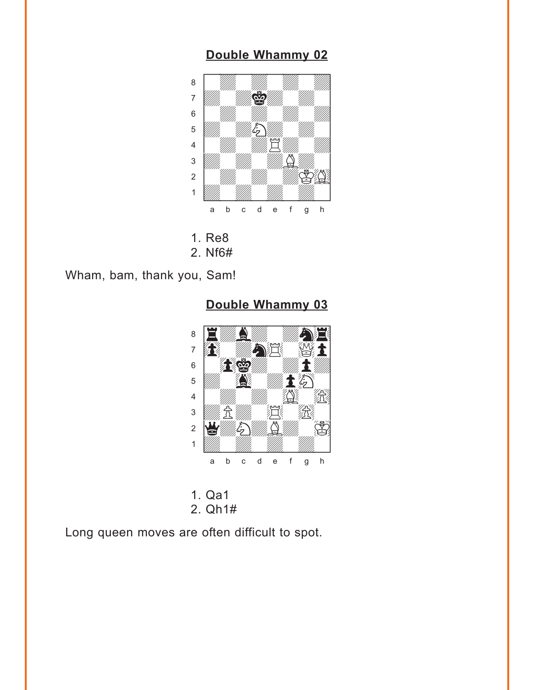#### **[Double Whammy 02](#page-1-0)**

<span id="page-4-0"></span>

- 1. Re8
- 2. Nf6#

Wham, bam, thank you, Sam!

**[Double Whammy 03](#page-2-0)**



1. Qa1 2. Qh1#

Long queen moves are often difficult to spot.